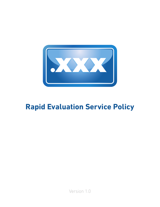

# **Rapid Evaluation Service Policy**

Version 1.0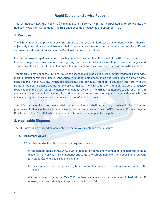# **Rapid Evaluation Service Policy**

This ICM Registry LLC (the "Registry") Rapid Evaluation Service ("RES") is incorporated by reference into the Registry-Registrant Agreement. This RES shall become effective as of September 1, 2011.

## **1. Purpose**

The RES is intended to provide a prompt remedy to address a limited class of situations in which there is objectively clear abuse of well-known, distinctive registered trademarks or service marks of significant commercial value, or of personal or professional names of individuals.

In order to provide rapid evaluation of such situations, the complaint threshold of the RES must be narrowly limited to objective considerations. Recognizing that national standards relating to protected signs and scope of rights vary, the RES is not intended to apply to all forms of protected signs or unlawful conduct.

Trademark claims under the RES are limited to assertion of a single registered textual trademark or service mark in actual commercial use in connection with identifiable goods and/or services, and to domain name registrations in the .XXX TLD which are apparently and obviously intended to abuse or interfere with the rights embodied in such trademarks or service marks. The RES is further intended to address abusive registration in the .XXX TLD of the names of individual persons. The RES is not intended to address rights in geographic terms, appellations of origin, trade names and other protected signs, except as they may be the subject of registered trademarks or service marks of national effect.

The RES is a form of extraordinary relief, the terms of which shall be narrowly construed. The RES is not preclusive of other available administrative or judicial remedies, such as ICANN's Uniform Domain Dispute Resolution Policy ("UDRP"), which encompass a broader set of applicable disputes.

# **2. Applicable Disputes**

The RES provides a proceeding applicable to the following categories of dispute:

## **a. Trademark Abuse**

A Complaint under this Section shall be required to show:

(i) the domain name in the .XXX TLD is identical or confusingly similar to a registered, textual trademark or service mark of national effect that the complainant owns and uses in the relevant jurisdiction(s) where it is registered; and

(ii) the respondent has no rights or legitimate interests in respect of the domain name in the .XXX TLD; and

(iii) the domain name in the .XXX TLD has been registered and is being used in bad faith or, if unused, is not conceivably susceptible to use in good faith.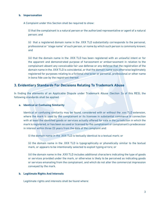#### **b. Impersonation**

A Complaint under this Section shall be required to show:

(i) that the complainant is a natural person or the authorized representative or agent of a natural person; and

(ii) that a registered domain name in the .XXX TLD substantially corresponds to the personal, professional or "stage name" of such person, or name by which such person is commonly known; and

(iii) that the domain name in the .XXX TLD has been registered with an unlawful intent or for the apparent and demonstrated purpose of harassment or embarrassment in relation to the complainant absent any conceivable fair use defense or any defense that the registration of the domain name in the .XXX TLD is coincidental, or that the domain name was otherwise legitimately registered for purposes relating to a fictional character or personal, professional or other name in bona fide use by the registrant thereof.

## **3. Evidentiary Standards For Decisions Relating To Trademark Abuse**

In finding the elements of an Applicable Dispute under Trademark Abuse (Section 2a of this RES), the following standards shall be applied.

## **a. Identical or Confusing Similarity**

Identical or confusing similarity may be found, considered with or without the .xxx TLD extension, where the mark is used by the complainant or its licensee in substantial commerce in connection with at least the identified goods or services actually offered for sale in the jurisdiction in which the mark is registered, or has been so used or licensed by the complainant or complainant's predecessor in interest within three (3) years from the date of the complaint and:

(i) the domain name in the .XXX TLD is textually identical to a textual mark; or

(ii) the domain name in the .XXX TLD is typographically or phonetically similar to the textual mark, or appears to be intentionally selected to exploit typing errors; or

(iii) the domain name in the .XXX TLD includes additional characters indicating the type of goods or services provided under the mark, or otherwise is likely to be perceived as indicating goods or services emanating from the complainant, and which do not alter the commercial impression conveyed by the mark.

## **b. Legitimate Rights And Interests**

Legitimate rights and interests shall be found where: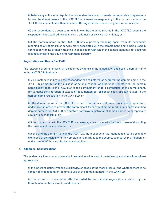(i) before any notice of a dispute, the respondent has used, or made demonstrable preparations to use, the domain name in the .XXX TLD or a name corresponding to the domain name in the .XXX TLD in connection with a bona fide offering or advertisement of goods or services; or

(ii) the respondent has been commonly known by the domain name in the .XXX TLD, even if the respondent has acquired no registered trademark or service mark rights; or

(iii) the domain name in the .XXX TLD has a primary meaning apart from its secondary meaning as a trademark or service mark associated with the complainant, and is being used in connection with its primary meaning in association with which the complainant has not acquired distinctiveness in the adult-entertainment industry.

#### **c. Registration and Use in Bad Faith**

The following circumstances shall be deemed evidence of the registration and use of a domain name in the .XXX TLD in bad faith:

(i) circumstances indicating the respondent has registered or acquired the domain name in the .XXX TLD primarily for the purpose of selling, renting, or otherwise transferring the domain name registration in the .XXX TLD to the complainant or to a competitor of the complainant, for valuable consideration in excess of documented out-of-pocket costs directly related to the domain name registration in the .XXX TLD; or

(ii) the domain name in the .XXX TLD is part of a pattern of domain registrations apparently undertaken in order to prevent the complainant from reflecting the mark(s) in a corresponding domain name in the .XXX TLD, or a part of a pattern of registration of domain names typographically similar to such mark(s); or

(iii) the domain name in the .XXX TLD has been registered primarily for the purpose of disrupting the business of the complainant; or

(iv) by using the domain name in the .XXX TLD, the respondent has intended to create a probable likelihood of confusion with the complainant's mark as to the source, sponsorship, affiliation, or endorsement of the web site by the complainant.

#### **d. Additional Considerations**

The evidentiary items noted above shall be considered in view of the following considerations where appropriate:

(i) the inherent distinctiveness, exclusivity, or scope of the mark at issue, and whether there is no conceivable good faith or legitimate use of the domain name(s) in the .XXX TLD;

(ii) the extent of presumptive effect afforded by the national registration(s) shown by the Complainant in the relevant jurisdiction(s);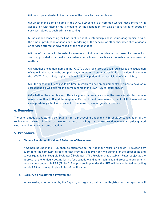(iii) the scope and extent of actual use of the mark by the complainant;

(iv) whether the domain name in the .XXX TLD consists of common word(s) used primarily in association with their primary meaning by the respondent for sale or advertising of goods or services related to such primary meaning;

(v) indications concerning the kind, quality, quantity, intended purpose, value, geographical origin, the time of production of goods or of rendering of the service, or other characteristics of goods or services offered or advertised by the respondent;

(vi) use of the mark to the extent necessary to indicate the intended purpose of a product or service, provided it is used in accordance with honest practices in industrial or commercial matters;

(vii) whether the domain name in the .XXX TLD was registered or acquired prior to the acquisition of rights in the mark by the complainant, or whether circumstances indicate the domain name in the .XXX TLD was likely registered in willful anticipation of the acquisition of such rights;

(viii) the reasonability of available time in which to develop or demonstrate plans to develop a corresponding web site for the domain name in the .XXX TLD at issue; and/or

(ix) whether the complainant offers its goods or services under the same or similar domain name in another TLD, and the respondent's use of the domain name in the .XXX TLD manifests a clear predatory intent with respect to the same or similar goods or services.

## **4. Remedies**

The sole remedy available to a complainant for a proceeding under this RES shall be cancellation of the registration and re-assignment of the name servers to the Registry and re-direction to a registry-designated web page signifying such de-activation.

## **5. Procedure**

## **a. Dispute Resolution Provider / Selection of Procedure**

A Complaint under this RES shall be submitted to the National Arbitration Forum ("Provider") by submitting the complaint directly to that Provider. The Provider will administer the proceeding and select a qualified and eligible Evaluator ("Evaluator"). The Provider shall establish Rules, subject to the approval of the Registry, setting forth a fees schedule and other technical and process requirements for a dispute under this RES ("Rules"). The proceedings under this RES will be conducted according to this RES and the applicable Rules of the Provider.

## **b. Registry's or Registrar's Involvement**

In proceedings not initiated by the Registry or registrar, neither the Registry nor the registrar will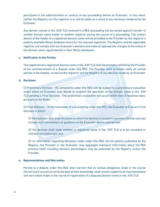participate in the administration or conduct of any proceeding before an Evaluator. In any event, neither the Registry nor the registrar is or will be liable as a result of any decisions rendered by the Evaluator.

Any domain names in the .XXX TLD involved in a RES proceeding will be locked against transfer to another domain name holder or another registrar during the course of a proceeding. The contact details of the holder of a registered domain name will be provided to the Provider by the registrar's publicly available Whois database record for the relevant registrant. The Registry and the applicable registrar will comply with any Evaluator's decision and make all appropriate changes to the status of the domain name registration(s) in their Whois databases.

## **c. Notification to the Parties**

The registrant of a registered domain name in the .XXX TLD shall be promptly notified by the Provider of the commencement of a dispute under this RES. The Provider shall promptly notify all named parties in the dispute, as well as the registrar and the Registry of any decision made by an Evaluator.

## **d. Decisions**

(i) Preliminary Decision - All complaints under this RES will be subject to a preliminary evaluation under which an Evaluator may decide to suspend the operation of the domain name in the .XXX TLD pending a Final Decision. This preliminary evaluation will occur within two (2) business days, pursuant to the Rules.

(ii) Final Decision – At the conclusion of a proceeding under this RES, the Evaluator will issue a Final Decision in which:

(1) the Evaluator may state the basis on which the decision is issued in summary format and may include such commentary or guidance as the Evaluator deems appropriate;

(2) the decision shall state whether a registered name in the .XXX TLD is to be cancelled or maintain the status quo; and

(3) no information regarding decisions made under this RES will be publicly published by the Registry, the Provider or the Evaluator; only aggregate statistical information about the RES process itself, including decision percentages, may be published by the Registry and/or the Provider.

## **e. Representations and Warranties**

Parties to a dispute under this RES shall warrant that all factual allegations made in the course thereof are true and correct to the best of their knowledge, shall remain subject to all representations and warranties made in the course of registration of a disputed domain name in the .XXX TLD.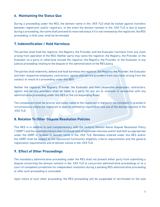## **6. Maintaining the Status Quo**

During a proceeding under the RES, the domain name in the .XXX TLD shall be locked against transfers between registrants and/or registrars. In the event the domain name(s) in the .XXX TLD is due to expire during a proceeding, the name shall proceed to reserved status if it is not renewed by the registrant; the RES proceeding, in that case, shall be terminated.

## **7. Indemnification / Hold Harmless**

The parties shall hold the registrar, the Registry, the Provider, and the Evaluator harmless from any claim arising from operation of the RES. Neither party may name the registrar, the Registry, the Provider, or the Evaluator as a party or otherwise include the registrar, the Registry, the Provider, or the Evaluator in any judicial proceeding relating to the dispute or the administration of the RES policy.

The parties shall indemnify, defend and hold harmless the registrar, the Registry, the Provider, the Evaluator and their respective employees, contractors, agents and service providers from any claim arising from the conduct or result of a proceeding under this RES.

Neither the registrar, the Registry, Provider, the Evaluator and their respective employees, contractors, agents and service providers shall be liable to a party for any act or omission in connection with any administrative proceeding under this RES or the corresponding Rules.

The complainant shall be directly and solely liable to the registrant in the event the complaint is granted in circumstances where the registrant is lawfully entitled to registration and use of the domain name(s) in the .XXX TLD.

# **8. Relation To Other Dispute Resolution Policies**

This RES is in addition to and complementary with the Uniform Domain Name Dispute Resolution Policy ("UDRP") and the conditions herein may constitute lack of legitimate interests and/or bad faith as appropriate under the UDRP in relation to domain name in the .XXX TLD. Remedies ordered under this RES and/or the UDRP shall be subject to the Sponsored Community eligibility criteria requirements and the general registration requirements and of domain names in the .XXX TLD.

# **9. Effect of Other Proceedings**

The mandatory administrative proceeding under the RES shall not prevent either party from submitting a dispute concerning the domain name(s) in the .XXX TLD to concurrent administrative proceedings or to a court of competent jurisdiction for independent resolution during a pending RES administrative proceeding or after such proceeding is concluded.

Upon notice of such other proceeding, the RES proceeding will be suspended or terminated (in the sole